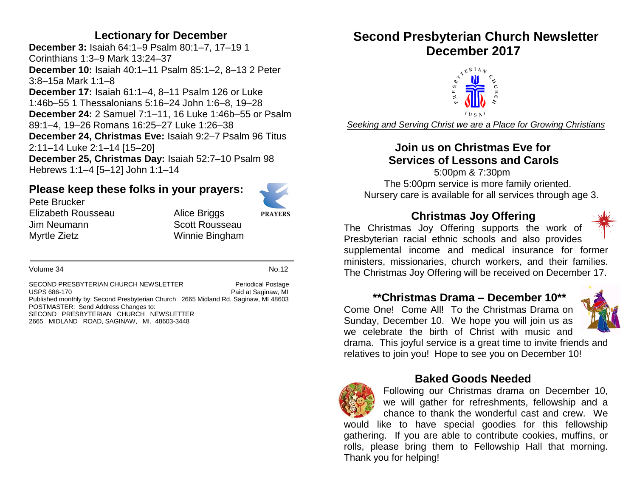### **Lectionary for December**

**December 3:** Isaiah 64:1–9 Psalm 80:1–7, 17–19 1 Corinthians 1:3–9 Mark 13:24–37 **December 10:** Isaiah 40:1–11 Psalm 85:1–2, 8–13 2 Peter 3:8–15a Mark 1:1–8 **December 17:** Isaiah 61:1–4, 8–11 Psalm 126 or Luke 1:46b–55 1 Thessalonians 5:16–24 John 1:6–8, 19–28 **December 24:** 2 Samuel 7:1–11, 16 Luke 1:46b–55 or Psalm 89:1–4, 19–26 Romans 16:25–27 Luke 1:26–38 **December 24, Christmas Eve:** Isaiah 9:2–7 Psalm 96 Titus 2:11–14 Luke 2:1–14 [15–20] **December 25, Christmas Day:** Isaiah 52:7–10 Psalm 98 Hebrews 1:1–4 [5–12] John 1:1–14

### **Please keep these folks in your prayers:**



Pete Brucker Elizabeth Rousseau Alice Briggs Jim Neumann Scott Rousseau Myrtle Zietz Winnie Bingham

**PRAYERS** 

Volume 34 No.12

SECOND PRESBYTERIAN CHURCH NEWSLETTER<br>USPS 686-170 Paid at Saginaw. MI Paid at Saginaw, MI Published monthly by: Second Presbyterian Church 2665 Midland Rd. Saginaw, MI 48603 POSTMASTER: Send Address Changes to: SECOND PRESBYTERIAN CHURCH NEWSLETTER 2665 MIDLAND ROAD, SAGINAW, MI. 48603-3448

# **Second Presbyterian Church Newsletter December 2017**



*Seeking and Serving Christ we are a Place for Growing Christians*

### **Join us on Christmas Eve for Services of Lessons and Carols**

 5:00pm & 7:30pm The 5:00pm service is more family oriented. Nursery care is available for all services through age 3.

### **Christmas Joy Offering**



The Christmas Joy Offering supports the work of Presbyterian racial ethnic schools and also provides supplemental income and medical insurance for former ministers, missionaries, church workers, and their families. The Christmas Joy Offering will be received on December 17.

### **\*\*Christmas Drama – December 10\*\***

Come One! Come All! To the Christmas Drama on Sunday, December 10. We hope you will join us as we celebrate the birth of Christ with music and



drama. This joyful service is a great time to invite friends and relatives to join you! Hope to see you on December 10!

### **Baked Goods Needed**



Following our Christmas drama on December 10, we will gather for refreshments, fellowship and a chance to thank the wonderful cast and crew. We would like to have special goodies for this fellowship gathering. If you are able to contribute cookies, muffins, or rolls, please bring them to Fellowship Hall that morning. Thank you for helping!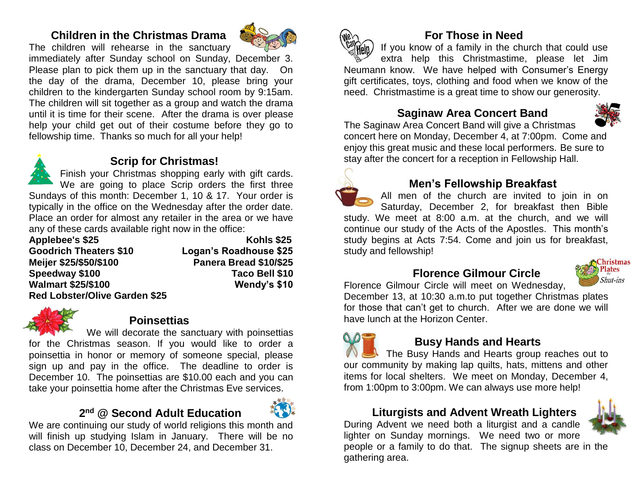### **Children in the Christmas Drama**

The children will rehearse in the sanctuary



immediately after Sunday school on Sunday, December 3. Please plan to pick them up in the sanctuary that day. On the day of the drama, December 10, please bring your children to the kindergarten Sunday school room by 9:15am. The children will sit together as a group and watch the drama until it is time for their scene. After the drama is over please help your child get out of their costume before they go to fellowship time. Thanks so much for all your help!



### **Scrip for Christmas!**

Finish your Christmas shopping early with gift cards. We are going to place Scrip orders the first three Sundays of this month: December 1, 10 & 17. Your order is typically in the office on the Wednesday after the order date. Place an order for almost any retailer in the area or we have any of these cards available right now in the office:

Applebee's \$25 Kohls \$25 **Goodrich Theaters \$10 Logan's Roadhouse \$25 Meijer \$25/\$50/\$100 Panera Bread \$10/\$25 Speedway \$100 Taco Bell \$10 Walmart \$25/\$100 Wendy's \$10 Red Lobster/Olive Garden \$25**



### **Poinsettias**

We will decorate the sanctuary with poinsettias

for the Christmas season. If you would like to order a poinsettia in honor or memory of someone special, please sign up and pay in the office. The deadline to order is December 10. The poinsettias are \$10.00 each and you can take your poinsettia home after the Christmas Eve services.

# **2 nd @ Second Adult Education**



We are continuing our study of world religions this month and will finish up studying Islam in January. There will be no class on December 10, December 24, and December 31.



### **For Those in Need**

If you know of a family in the church that could use extra help this Christmastime, please let Jim Neumann know. We have helped with Consumer's Energy gift certificates, toys, clothing and food when we know of the need. Christmastime is a great time to show our generosity.

# **Saginaw Area Concert Band**



The Saginaw Area Concert Band will give a Christmas concert here on Monday, December 4, at 7:00pm. Come and enjoy this great music and these local performers. Be sure to stay after the concert for a reception in Fellowship Hall.



### **Men's Fellowship Breakfast**

All men of the church are invited to join in on Saturday, December 2, for breakfast then Bible study. We meet at 8:00 a.m. at the church, and we will continue our study of the Acts of the Apostles. This month's study begins at Acts 7:54. Come and join us for breakfast, study and fellowship!

# **Florence Gilmour Circle**



Florence Gilmour Circle will meet on Wednesday, December 13, at 10:30 a.m.to put together Christmas plates for those that can't get to church. After we are done we will have lunch at the Horizon Center.

### **Busy Hands and Hearts**

The Busy Hands and Hearts group reaches out to our community by making lap quilts, hats, mittens and other items for local shelters. We meet on Monday, December 4, from 1:00pm to 3:00pm. We can always use more help!

# **Liturgists and Advent Wreath Lighters**

During Advent we need both a liturgist and a candle lighter on Sunday mornings. We need two or more people or a family to do that. The signup sheets are in the gathering area.

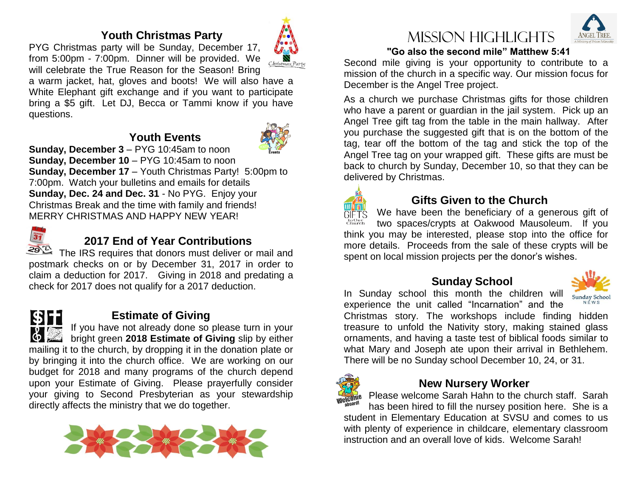### **Youth Christmas Party**

PYG Christmas party will be Sunday, December 17, from 5:00pm - 7:00pm. Dinner will be provided. We will celebrate the True Reason for the Season! Bring

a warm jacket, hat, gloves and boots! We will also have a White Elephant gift exchange and if you want to participate bring a \$5 gift. Let DJ, Becca or Tammi know if you have questions.

### **Youth Events**



**Sunday, December 3** – PYG 10:45am to noon **Sunday, December 10** – PYG 10:45am to noon **Sunday, December 17** – Youth Christmas Party! 5:00pm to 7:00pm. Watch your bulletins and emails for details **Sunday, Dec. 24 and Dec. 31** - No PYG. Enjoy your Christmas Break and the time with family and friends! MERRY CHRISTMAS AND HAPPY NEW YEAR!



# **2017 End of Year Contributions**

The IRS requires that donors must deliver or mail and postmark checks on or by December 31, 2017 in order to claim a deduction for 2017. Giving in 2018 and predating a check for 2017 does not qualify for a 2017 deduction.



### **Estimate of Giving**

If you have not already done so please turn in your **by Depth and Strate and Allie Strate Strate Strate Strate Strate Strate**<br>**2018 Estimate of Giving** slip by either mailing it to the church, by dropping it in the donation plate or by bringing it into the church office. We are working on our budget for 2018 and many programs of the church depend upon your Estimate of Giving. Please prayerfully consider your giving to Second Presbyterian as your stewardship directly affects the ministry that we do together.







### **"Go also the second mile" Matthew 5:41**

Second mile giving is your opportunity to contribute to a mission of the church in a specific way. Our mission focus for December is the Angel Tree project.

As a church we purchase Christmas gifts for those children who have a parent or guardian in the jail system. Pick up an Angel Tree gift tag from the table in the main hallway. After you purchase the suggested gift that is on the bottom of the tag, tear off the bottom of the tag and stick the top of the Angel Tree tag on your wrapped gift. These gifts are must be back to church by Sunday, December 10, so that they can be delivered by Christmas.



### **Gifts Given to the Church**

We have been the beneficiary of a generous gift of toOur<br>Church two spaces/crypts at Oakwood Mausoleum. If you think you may be interested, please stop into the office for more details. Proceeds from the sale of these crypts will be spent on local mission projects per the donor's wishes.

### **Sunday School**

In Sunday school this month the children will Sunday School experience the unit called "Incarnation" and the

Christmas story. The workshops include finding hidden treasure to unfold the Nativity story, making stained glass ornaments, and having a taste test of biblical foods similar to what Mary and Joseph ate upon their arrival in Bethlehem. There will be no Sunday school December 10, 24, or 31.



### **New Nursery Worker**

Please welcome Sarah Hahn to the church staff. Sarah has been hired to fill the nursey position here. She is a student in Elementary Education at SVSU and comes to us with plenty of experience in childcare, elementary classroom instruction and an overall love of kids. Welcome Sarah!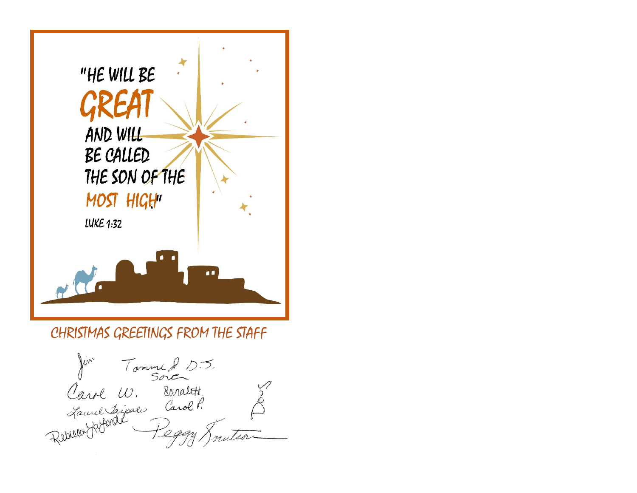

# CHRISTMAS GREETINGS FROM THE STAFF

Juin Tommi 2 05.<br>Carol W. Baralett.<br>Laurel Ligace Carol P.<br>Rebuur Jerfonde Peggy Jn